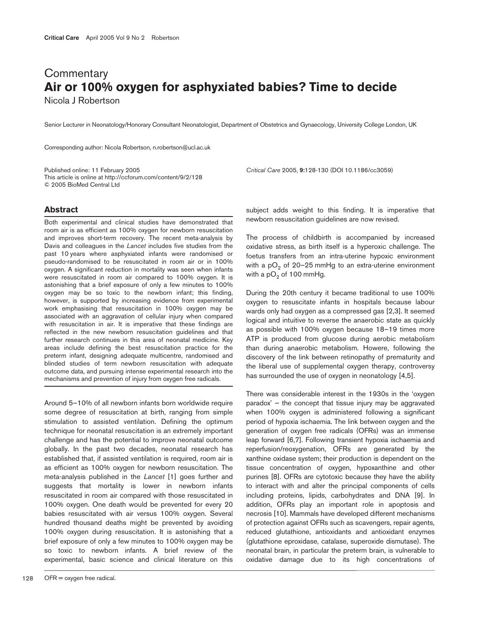## **Commentary Air or 100% oxygen for asphyxiated babies? Time to decide** Nicola J Robertson

Senior Lecturer in Neonatology/Honorary Consultant Neonatologist, Department of Obstetrics and Gynaecology, University College London, UK

Corresponding author: Nicola Robertson, n.robertson@ucl.ac.uk

Published online: 11 February 2005 *Critical Care* 2005, **9:**128-130 (DOI 10.1186/cc3059) This article is online at http://ccforum.com/content/9/2/128 © 2005 BioMed Central Ltd

## **Abstract**

Both experimental and clinical studies have demonstrated that room air is as efficient as 100% oxygen for newborn resuscitation and improves short-term recovery. The recent meta-analysis by Davis and colleagues in the *Lancet* includes five studies from the past 10 years where asphyxiated infants were randomised or pseudo-randomised to be resuscitated in room air or in 100% oxygen. A significant reduction in mortality was seen when infants were resuscitated in room air compared to 100% oxygen. It is astonishing that a brief exposure of only a few minutes to 100% oxygen may be so toxic to the newborn infant; this finding, however, is supported by increasing evidence from experimental work emphasising that resuscitation in 100% oxygen may be associated with an aggravation of cellular injury when compared with resuscitation in air. It is imperative that these findings are reflected in the new newborn resuscitation guidelines and that further research continues in this area of neonatal medicine. Key areas include defining the best resuscitation practice for the preterm infant, designing adequate multicentre, randomised and blinded studies of term newborn resuscitation with adequate outcome data, and pursuing intense experimental research into the mechanisms and prevention of injury from oxygen free radicals.

Around 5–10% of all newborn infants born worldwide require some degree of resuscitation at birth, ranging from simple stimulation to assisted ventilation. Defining the optimum technique for neonatal resuscitation is an extremely important challenge and has the potential to improve neonatal outcome globally. In the past two decades, neonatal research has established that, if assisted ventilation is required, room air is as efficient as 100% oxygen for newborn resuscitation. The meta-analysis published in the *Lancet* [1] goes further and suggests that mortality is lower in newborn infants resuscitated in room air compared with those resuscitated in 100% oxygen. One death would be prevented for every 20 babies resuscitated with air versus 100% oxygen. Several hundred thousand deaths might be prevented by avoiding 100% oxygen during resuscitation. It is astonishing that a brief exposure of only a few minutes to 100% oxygen may be so toxic to newborn infants. A brief review of the experimental, basic science and clinical literature on this

subject adds weight to this finding. It is imperative that newborn resuscitation guidelines are now revised.

The process of childbirth is accompanied by increased oxidative stress, as birth itself is a hyperoxic challenge. The foetus transfers from an intra-uterine hypoxic environment with a  $pO<sub>2</sub>$  of 20–25 mmHg to an extra-uterine environment with a  $pO<sub>2</sub>$  of 100 mmHg.

During the 20th century it became traditional to use 100% oxygen to resuscitate infants in hospitals because labour wards only had oxygen as a compressed gas [2,3]. It seemed logical and intuitive to reverse the anaerobic state as quickly as possible with 100% oxygen because 18–19 times more ATP is produced from glucose during aerobic metabolism than during anaerobic metabolism. Howere, following the discovery of the link between retinopathy of prematurity and the liberal use of supplemental oxygen therapy, controversy has surrounded the use of oxygen in neonatology [4,5].

There was considerable interest in the 1930s in the 'oxygen paradox' — the concept that tissue injury may be aggravated when 100% oxygen is administered following a significant period of hypoxia ischaemia. The link between oxygen and the generation of oxygen free radicals (OFRs) was an immense leap forward [6,7]. Following transient hypoxia ischaemia and reperfusion/reoxygenation, OFRs are generated by the xanthine oxidase system; their production is dependent on the tissue concentration of oxygen, hypoxanthine and other purines [8]. OFRs are cytotoxic because they have the ability to interact with and alter the principal components of cells including proteins, lipids, carbohydrates and DNA [9]. In addition, OFRs play an important role in apoptosis and necrosis [10]. Mammals have developed different mechanisms of protection against OFRs such as scavengers, repair agents, reduced glutathione, antioxidants and antioxidant enzymes (glutathione eproxidase, catalase, superoxide dismutase). The neonatal brain, in particular the preterm brain, is vulnerable to oxidative damage due to its high concentrations of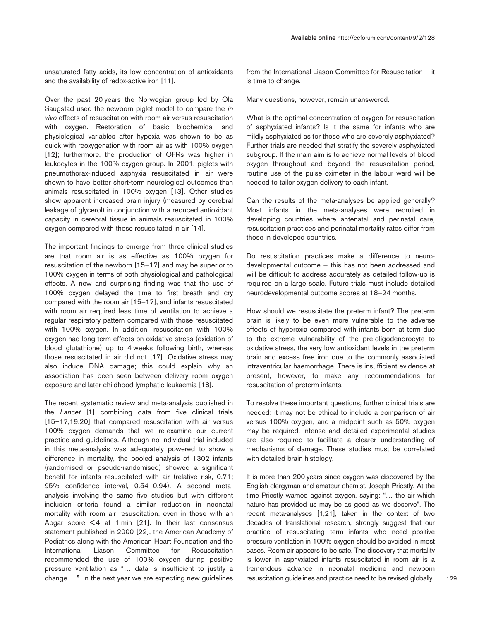unsaturated fatty acids, its low concentration of antioxidants and the availability of redox-active iron [11].

Over the past 20 years the Norwegian group led by Ola Saugstad used the newborn piglet model to compare the *in vivo* effects of resuscitation with room air versus resuscitation with oxygen. Restoration of basic biochemical and physiological variables after hypoxia was shown to be as quick with reoxygenation with room air as with 100% oxygen [12]; furthermore, the production of OFRs was higher in leukocytes in the 100% oxygen group. In 2001, piglets with pneumothorax-induced asphyxia resuscitated in air were shown to have better short-term neurological outcomes than animals resuscitated in 100% oxygen [13]. Other studies show apparent increased brain injury (measured by cerebral leakage of glycerol) in conjunction with a reduced antioxidant capacity in cerebral tissue in animals resuscitated in 100% oxygen compared with those resuscitated in air [14].

The important findings to emerge from three clinical studies are that room air is as effective as 100% oxygen for resuscitation of the newborn [15–17] and may be superior to 100% oxygen in terms of both physiological and pathological effects. A new and surprising finding was that the use of 100% oxygen delayed the time to first breath and cry compared with the room air [15–17], and infants resuscitated with room air required less time of ventilation to achieve a regular respiratory pattern compared with those resuscitated with 100% oxygen. In addition, resuscitation with 100% oxygen had long-term effects on oxidative stress (oxidation of blood glutathione) up to 4 weeks following birth, whereas those resuscitated in air did not [17]. Oxidative stress may also induce DNA damage; this could explain why an association has been seen between delivery room oxygen exposure and later childhood lymphatic leukaemia [18].

The recent systematic review and meta-analysis published in the *Lancet* [1] combining data from five clinical trials [15–17,19,20] that compared resuscitation with air versus 100% oxygen demands that we re-examine our current practice and guidelines. Although no individual trial included in this meta-analysis was adequately powered to show a difference in mortality, the pooled analysis of 1302 infants (randomised or pseudo-randomised) showed a significant benefit for infants resuscitated with air (relative risk, 0.71; 95% confidence interval, 0.54–0.94). A second metaanalysis involving the same five studies but with different inclusion criteria found a similar reduction in neonatal mortality with room air resuscitation, even in those with an Apgar score  $\leq 4$  at 1 min [21]. In their last consensus statement published in 2000 [22], the American Academy of Pediatrics along with the American Heart Foundation and the International Liason Committee for Resuscitation recommended the use of 100% oxygen during positive pressure ventilation as "… data is insufficient to justify a change …". In the next year we are expecting new guidelines

from the International Liason Committee for Resuscitation — it is time to change.

Many questions, however, remain unanswered.

What is the optimal concentration of oxygen for resuscitation of asphyxiated infants? Is it the same for infants who are mildly asphyxiated as for those who are severely asphyxiated? Further trials are needed that stratify the severely asphyxiated subgroup. If the main aim is to achieve normal levels of blood oxygen throughout and beyond the resuscitation period, routine use of the pulse oximeter in the labour ward will be needed to tailor oxygen delivery to each infant.

Can the results of the meta-analyses be applied generally? Most infants in the meta-analyses were recruited in developing countries where antenatal and perinatal care, resuscitation practices and perinatal mortality rates differ from those in developed countries.

Do resuscitation practices make a difference to neurodevelopmental outcome — this has not been addressed and will be difficult to address accurately as detailed follow-up is required on a large scale. Future trials must include detailed neurodevelopmental outcome scores at 18–24 months.

How should we resuscitate the preterm infant? The preterm brain is likely to be even more vulnerable to the adverse effects of hyperoxia compared with infants born at term due to the extreme vulnerability of the pre-oligodendrocyte to oxidative stress, the very low antioxidant levels in the preterm brain and excess free iron due to the commonly associated intraventricular haemorrhage. There is insufficient evidence at present, however, to make any recommendations for resuscitation of preterm infants.

To resolve these important questions, further clinical trials are needed; it may not be ethical to include a comparison of air versus 100% oxygen, and a midpoint such as 50% oxygen may be required. Intense and detailed experimental studies are also required to facilitate a clearer understanding of mechanisms of damage. These studies must be correlated with detailed brain histology.

It is more than 200 years since oxygen was discovered by the English clergyman and amateur chemist, Joseph Priestly. At the time Priestly warned against oxygen, saying: "… the air which nature has provided us may be as good as we deserve". The recent meta-analyses [1,21], taken in the context of two decades of translational research, strongly suggest that our practice of resuscitating term infants who need positive pressure ventilation in 100% oxygen should be avoided in most cases. Room air appears to be safe. The discovery that mortality is lower in asphyxiated infants resuscitated in room air is a tremendous advance in neonatal medicine and newborn resuscitation guidelines and practice need to be revised globally.